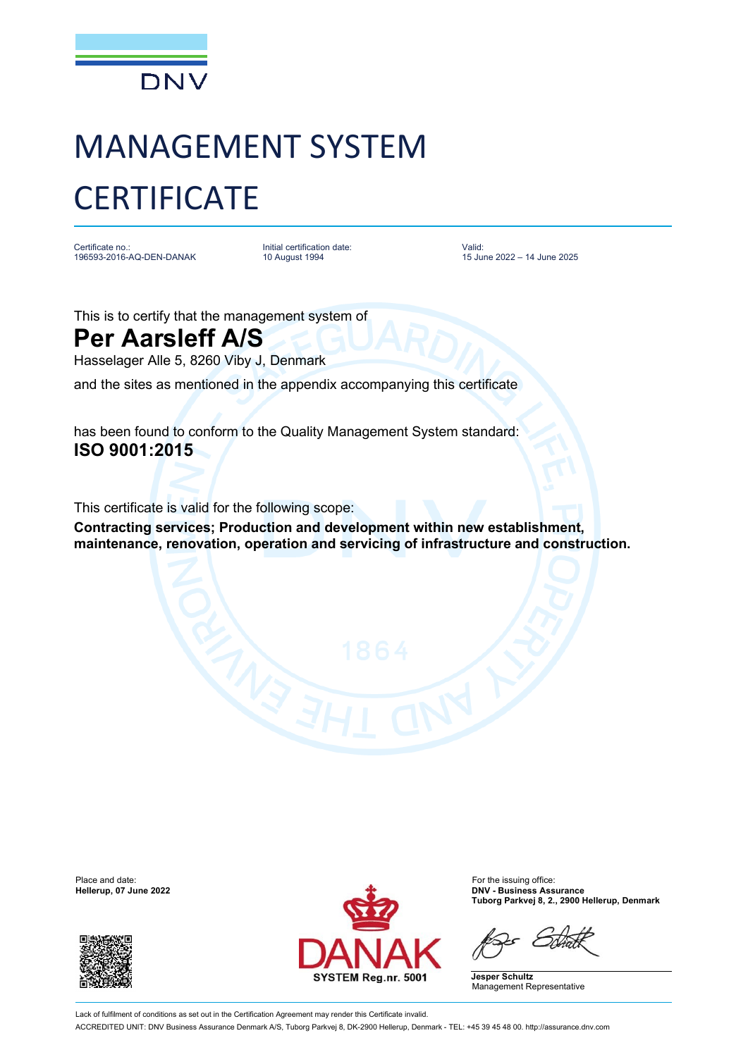

## MANAGEMENT SYSTEM **CERTIFICATE**

Certificate no.: 196593-2016-AQ-DEN-DANAK Initial certification date: 10 August 1994

Valid: 15 June 2022 – 14 June 2025

This is to certify that the management system of

## **Per Aarsleff A/S**

Hasselager Alle 5, 8260 Viby J, Denmark

and the sites as mentioned in the appendix accompanying this certificate

has been found to conform to the Quality Management System standard: **ISO 9001:2015**

This certificate is valid for the following scope:

**Contracting services; Production and development within new establishment, maintenance, renovation, operation and servicing of infrastructure and construction.**





**Hellerup, 07 June 2022 DNV - Business Assurance Tuborg Parkvej 8, 2., 2900 Hellerup, Denmark**

**Jesper Schultz** Management Representative

Lack of fulfilment of conditions as set out in the Certification Agreement may render this Certificate invalid. ACCREDITED UNIT: DNV Business Assurance Denmark A/S, Tuborg Parkvej 8, DK-2900 Hellerup, Denmark - TEL: +45 39 45 48 00. http://assurance.dnv.com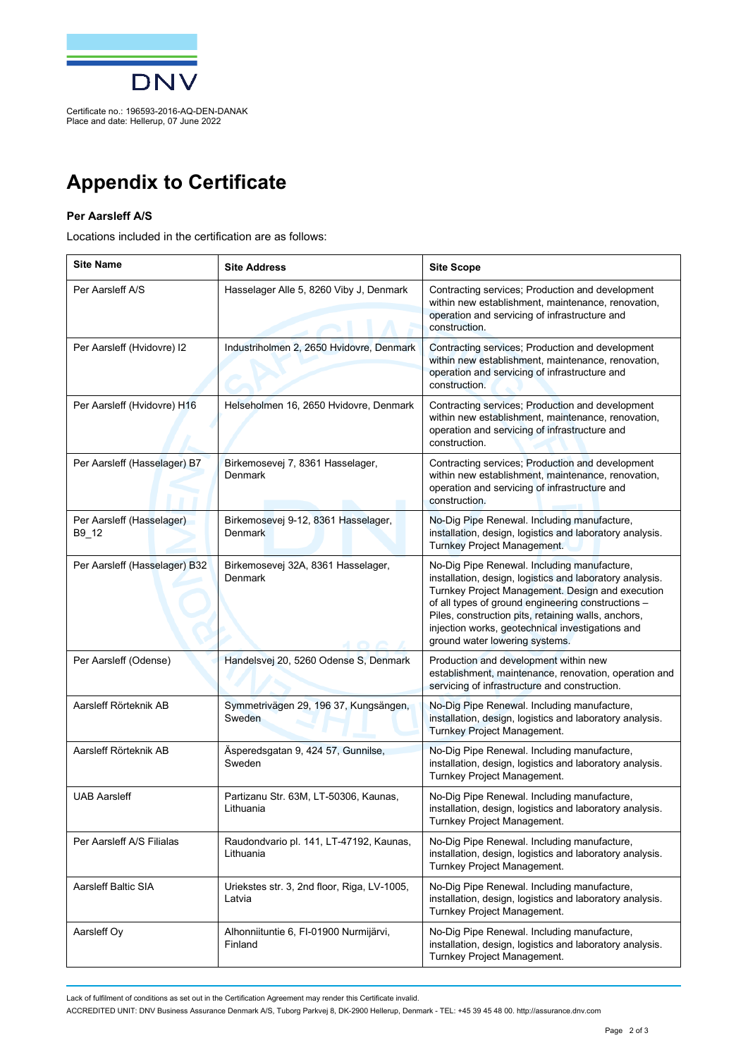

Certificate no.: 196593-2016-AQ-DEN-DANAK Place and date: Hellerup, 07 June 2022

## **Appendix to Certificate**

## **Per Aarsleff A/S**

Locations included in the certification are as follows:

| <b>Site Name</b>                   | <b>Site Address</b>                                   | <b>Site Scope</b>                                                                                                                                                                                                                                                                                                                                              |
|------------------------------------|-------------------------------------------------------|----------------------------------------------------------------------------------------------------------------------------------------------------------------------------------------------------------------------------------------------------------------------------------------------------------------------------------------------------------------|
| Per Aarsleff A/S                   | Hasselager Alle 5, 8260 Viby J, Denmark               | Contracting services; Production and development<br>within new establishment, maintenance, renovation,<br>operation and servicing of infrastructure and<br>construction.                                                                                                                                                                                       |
| Per Aarsleff (Hvidovre) I2         | Industriholmen 2, 2650 Hvidovre, Denmark              | Contracting services; Production and development<br>within new establishment, maintenance, renovation,<br>operation and servicing of infrastructure and<br>construction.                                                                                                                                                                                       |
| Per Aarsleff (Hvidovre) H16        | Helseholmen 16, 2650 Hvidovre, Denmark                | Contracting services; Production and development<br>within new establishment, maintenance, renovation,<br>operation and servicing of infrastructure and<br>construction.                                                                                                                                                                                       |
| Per Aarsleff (Hasselager) B7       | Birkemosevej 7, 8361 Hasselager,<br>Denmark           | Contracting services; Production and development<br>within new establishment, maintenance, renovation,<br>operation and servicing of infrastructure and<br>construction.                                                                                                                                                                                       |
| Per Aarsleff (Hasselager)<br>B9_12 | Birkemosevej 9-12, 8361 Hasselager,<br><b>Denmark</b> | No-Dig Pipe Renewal. Including manufacture,<br>installation, design, logistics and laboratory analysis.<br><b>Turnkey Project Management.</b>                                                                                                                                                                                                                  |
| Per Aarsleff (Hasselager) B32      | Birkemosevej 32A, 8361 Hasselager,<br><b>Denmark</b>  | No-Dig Pipe Renewal. Including manufacture,<br>installation, design, logistics and laboratory analysis.<br>Turnkey Project Management. Design and execution<br>of all types of ground engineering constructions -<br>Piles, construction pits, retaining walls, anchors,<br>injection works, geotechnical investigations and<br>ground water lowering systems. |
| Per Aarsleff (Odense)              | Handelsvej 20, 5260 Odense S, Denmark                 | Production and development within new<br>establishment, maintenance, renovation, operation and<br>servicing of infrastructure and construction.                                                                                                                                                                                                                |
| Aarsleff Rörteknik AB              | Symmetrivägen 29, 196 37, Kungsängen,<br>Sweden       | No-Dig Pipe Renewal. Including manufacture,<br>installation, design, logistics and laboratory analysis.<br>Turnkey Project Management.                                                                                                                                                                                                                         |
| Aarsleff Rörteknik AB              | Äsperedsgatan 9, 424 57, Gunnilse,<br>Sweden          | No-Dig Pipe Renewal. Including manufacture,<br>installation, design, logistics and laboratory analysis.<br>Turnkey Project Management.                                                                                                                                                                                                                         |
| <b>UAB Aarsleff</b>                | Partizanu Str. 63M, LT-50306, Kaunas,<br>Lithuania    | No-Dig Pipe Renewal. Including manufacture,<br>installation, design, logistics and laboratory analysis.<br>I urnkey Project Management.                                                                                                                                                                                                                        |
| Per Aarsleff A/S Filialas          | Raudondvario pl. 141, LT-47192, Kaunas,<br>Lithuania  | No-Dig Pipe Renewal. Including manufacture,<br>installation, design, logistics and laboratory analysis.<br>Turnkey Project Management.                                                                                                                                                                                                                         |
| Aarsleff Baltic SIA                | Uriekstes str. 3, 2nd floor, Riga, LV-1005,<br>Latvia | No-Dig Pipe Renewal. Including manufacture,<br>installation, design, logistics and laboratory analysis.<br>Turnkey Project Management.                                                                                                                                                                                                                         |
| Aarsleff Oy                        | Alhonniituntie 6, FI-01900 Nurmijärvi,<br>Finland     | No-Dig Pipe Renewal. Including manufacture,<br>installation, design, logistics and laboratory analysis.<br>Turnkey Project Management.                                                                                                                                                                                                                         |

Lack of fulfilment of conditions as set out in the Certification Agreement may render this Certificate invalid.

ACCREDITED UNIT: DNV Business Assurance Denmark A/S, Tuborg Parkvej 8, DK-2900 Hellerup, Denmark - TEL: +45 39 45 48 00. http://assurance.dnv.com